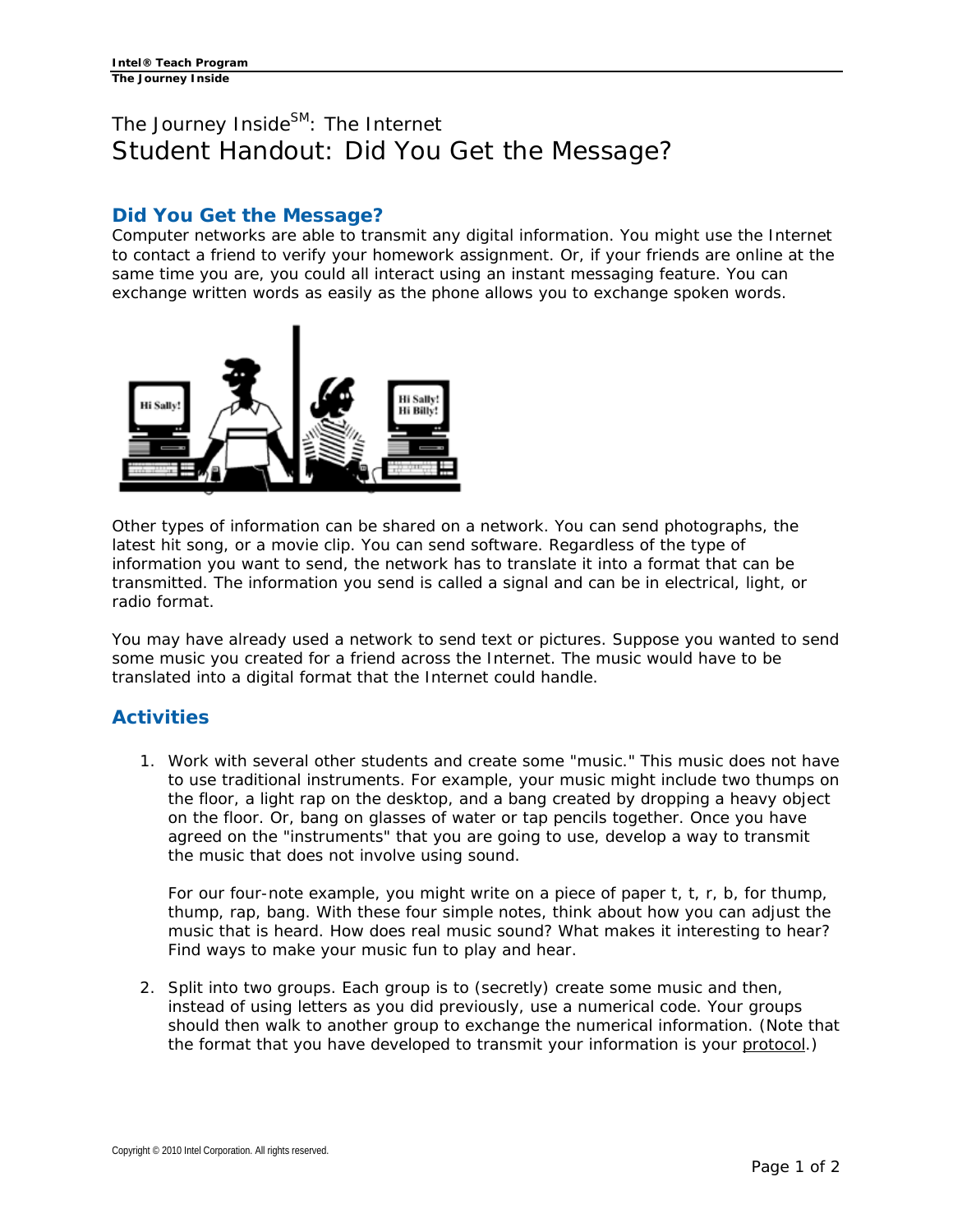## The Journey Inside<sup>SM</sup>: The Internet Student Handout: Did You Get the Message?

## **Did You Get the Message?**

Computer networks are able to transmit any digital information. You might use the Internet to contact a friend to verify your homework assignment. Or, if your friends are online at the same time you are, you could all interact using an instant messaging feature. You can exchange written words as easily as the phone allows you to exchange spoken words.



Other types of information can be shared on a network. You can send photographs, the latest hit song, or a movie clip. You can send software. Regardless of the type of information you want to send, the network has to translate it into a format that can be transmitted. The information you send is called a signal and can be in electrical, light, or radio format.

You may have already used a network to send text or pictures. Suppose you wanted to send some music you created for a friend across the Internet. The music would have to be translated into a digital format that the Internet could handle.

## **Activities**

1. Work with several other students and create some "music." This music does not have to use traditional instruments. For example, your music might include two thumps on the floor, a light rap on the desktop, and a bang created by dropping a heavy object on the floor. Or, bang on glasses of water or tap pencils together. Once you have agreed on the "instruments" that you are going to use, develop a way to transmit the music that does not involve using sound.

For our four-note example, you might write on a piece of paper t, t, r, b, for thump, thump, rap, bang. With these four simple notes, think about how you can adjust the music that is heard. How does real music sound? What makes it interesting to hear? Find ways to make your music fun to play and hear.

2. Split into two groups. Each group is to (secretly) create some music and then, instead of using letters as you did previously, use a numerical code. Your groups should then walk to another group to exchange the numerical information. (Note that the format that you have developed to transmit your information is your protocol.)